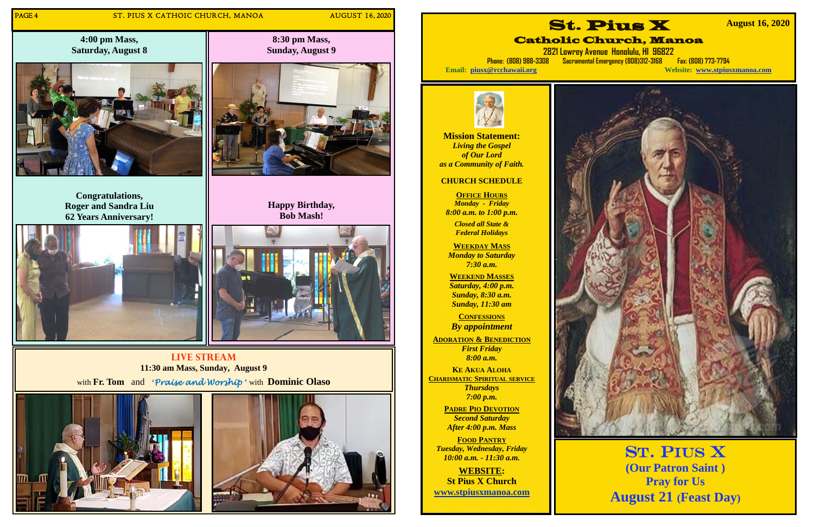## PAGE 4 ST. PIUS X CATHOIC CHURCH, MANOA AUGUST 16, 2020

**4:00 pm Mass, Saturday, August 8** 



**Congratulations, Roger and Sandra Liu 62 Years Anniversary!** 



## **Live Stream 11:30 am Mass, Sunday, August 9**

with **Fr. Tom** and **'***Praise and Worship* **'** with **Dominic Olaso**





**OFFICE HOURS** *Monday - Friday 8:00 a.m. to 1:00 p.m.* 

**8:30 pm Mass, Sunday, August 9** 

**Happy Birthday,** 



**Mission Statement:**  *Living the Gospel of Our Lord as a Community of Faith.* 

## **CHURCH SCHEDULE**

*Closed all State & Federal Holidays* 

**WEEKDAY MASS**  *Monday to Saturday 7:30 a.m.* 

**WEEKEND MASSES**  *Saturday, 4:00 p.m. Sunday, 8:30 a.m. Sunday, 11:30 am* 

**CONFESSIONS** *By appointment* 

**ADORATION & BENEDICTION** *First Friday 8:00 a.m.* 

**KE AKUA ALOHACHARISMATIC SPIRITUAL SERVICE** *Thursdays 7:00 p.m.* 

> **PADRE PIO DEVOTION***Second Saturday After 4:00 p.m. Mass*

**FOOD PANTRY** *Tuesday, Wednesday, Friday 10:00 a.m. - 11:30 a.m.* 

**WEBSITE: St Pius X Church www.stpiusxmanoa.com** 



# Catholic Church, Manoa

**2821 Lowrey Avenue Honolulu, HI 96822 Phone: (808) 988-3308 Sacramental Emergency (808)312-3168 Fax: (808) 773-7794 Email: piusx@rcchawaii.org Website: www.stpiusxmanoa.com**



 **August 16, 2020** 

St. Pius X **(Our Patron Saint ) Pray for Us August 21 (Feast Day)**